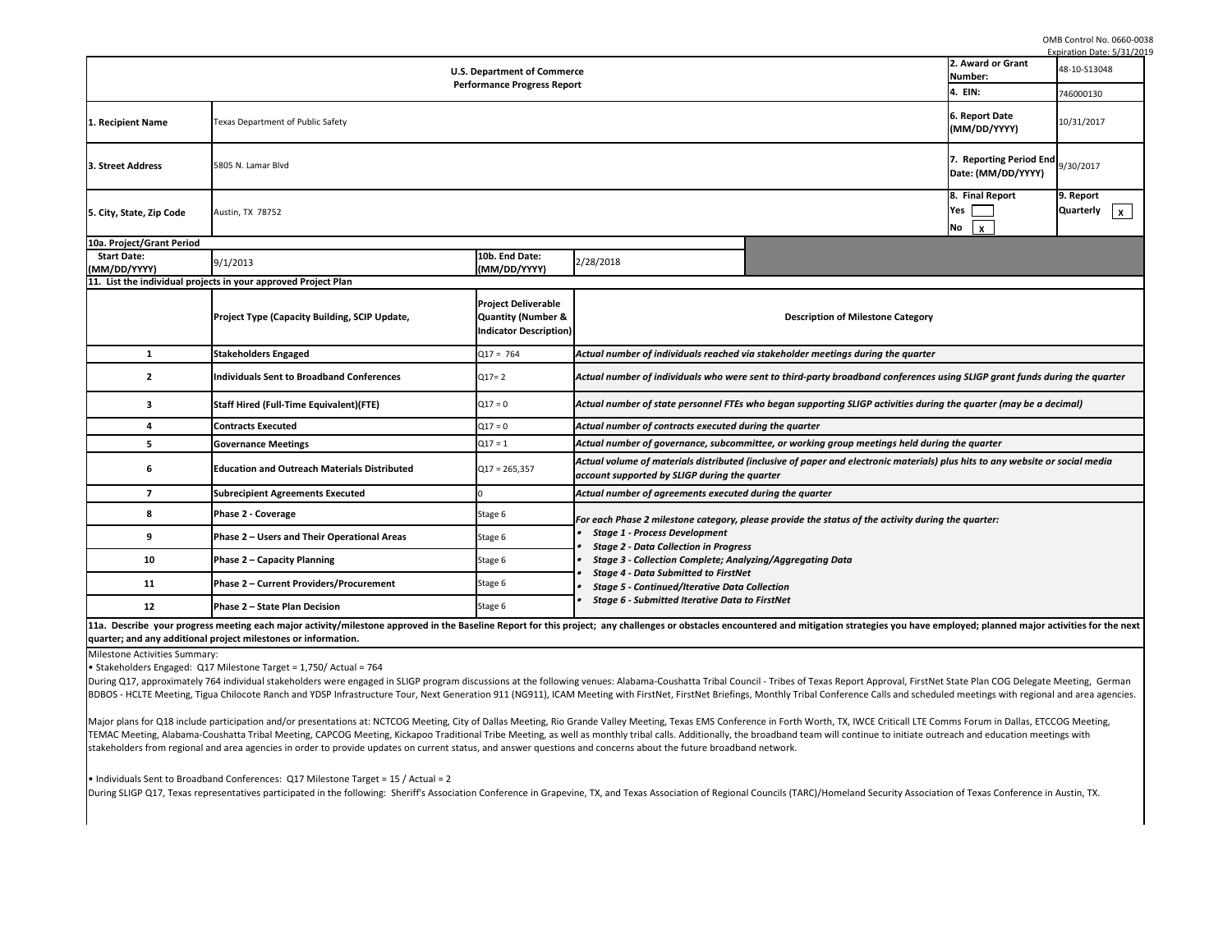OMB Control No. 0660-0038

Milestone Activities Summary:

• Stakeholders Engaged: Q17 Milestone Target = 1,750/ Actual = 764

During Q17, approximately 764 individual stakeholders were engaged in SLIGP program discussions at the following venues: Alabama-Coushatta Tribal Council - Tribe BDBOS - HCLTE Meeting, Tigua Chilocote Ranch and YDSP Infrastructure Tour, Next Generation 911 (NG911), ICAM Meeting with FirstNet, FirstNet Briefings, Monthly

Major plans for Q18 include participation and/or presentations at: NCTCOG Meeting, City of Dallas Meeting, Rio Grande Valley Meeting, Texas EMS Conference in Fo TEMAC Meeting, Alabama-Coushatta Tribal Meeting, CAPCOG Meeting, Kickapoo Traditional Tribe Meeting, as well as monthly tribal calls. Additionally, the broadbar stakeholders from regional and area agencies in order to provide updates on current status, and answer questions and concerns about the future broadband networ

|                                                                                                                                                                                                                                                                                                                                                                                                  |                                          |                                                                                                                            | Expiration Date: 5/31/2019         |
|--------------------------------------------------------------------------------------------------------------------------------------------------------------------------------------------------------------------------------------------------------------------------------------------------------------------------------------------------------------------------------------------------|------------------------------------------|----------------------------------------------------------------------------------------------------------------------------|------------------------------------|
| cе                                                                                                                                                                                                                                                                                                                                                                                               |                                          | 2. Award or Grant                                                                                                          | 48-10-S13048                       |
| rt.                                                                                                                                                                                                                                                                                                                                                                                              |                                          | Number:<br>4. EIN:                                                                                                         | 746000130                          |
|                                                                                                                                                                                                                                                                                                                                                                                                  |                                          |                                                                                                                            |                                    |
|                                                                                                                                                                                                                                                                                                                                                                                                  |                                          | 6. Report Date<br>(MM/DD/YYYY)                                                                                             | 10/31/2017                         |
|                                                                                                                                                                                                                                                                                                                                                                                                  |                                          | 7. Reporting Period End<br>Date: (MM/DD/YYYY)                                                                              | 9/30/2017                          |
|                                                                                                                                                                                                                                                                                                                                                                                                  |                                          | 8. Final Report<br>Yes<br>No<br>$\boldsymbol{\mathsf{X}}$                                                                  | 9. Report<br><b>Quarterly</b><br>X |
| 2/28/2018                                                                                                                                                                                                                                                                                                                                                                                        |                                          |                                                                                                                            |                                    |
|                                                                                                                                                                                                                                                                                                                                                                                                  | <b>Description of Milestone Category</b> |                                                                                                                            |                                    |
| Actual number of individuals reached via stakeholder meetings during the quarter                                                                                                                                                                                                                                                                                                                 |                                          |                                                                                                                            |                                    |
| Actual number of individuals who were sent to third-party broadband conferences using SLIGP grant funds during the quarter                                                                                                                                                                                                                                                                       |                                          |                                                                                                                            |                                    |
| Actual number of state personnel FTEs who began supporting SLIGP activities during the quarter (may be a decimal)                                                                                                                                                                                                                                                                                |                                          |                                                                                                                            |                                    |
| Actual number of contracts executed during the quarter                                                                                                                                                                                                                                                                                                                                           |                                          |                                                                                                                            |                                    |
| Actual number of governance, subcommittee, or working group meetings held during the quarter                                                                                                                                                                                                                                                                                                     |                                          |                                                                                                                            |                                    |
| Actual volume of materials distributed (inclusive of paper and electronic materials) plus hits to any website or social media<br>account supported by SLIGP during the quarter                                                                                                                                                                                                                   |                                          |                                                                                                                            |                                    |
| Actual number of agreements executed during the quarter                                                                                                                                                                                                                                                                                                                                          |                                          |                                                                                                                            |                                    |
| For each Phase 2 milestone category, please provide the status of the activity during the quarter:<br>• Stage 1 - Process Development<br>• Stage 2 - Data Collection in Progress<br>• Stage 3 - Collection Complete; Analyzing/Aggregating Data<br>• Stage 4 - Data Submitted to FirstNet<br>• Stage 5 - Continued/Iterative Data Collection<br>• Stage 6 - Submitted Iterative Data to FirstNet |                                          |                                                                                                                            |                                    |
| iject; any challenges or obstacles encountered and mitigation strategies you have employed; planned major activities for the next                                                                                                                                                                                                                                                                |                                          |                                                                                                                            |                                    |
| g venues: Alabama-Coushatta Tribal Council - Tribes of Texas Report Approval, FirstNet State Plan COG Delegate Meeting, German<br>Meeting with FirstNet, FirstNet Briefings, Monthly Tribal Conference Calls and scheduled meetings with regional and area agencies.                                                                                                                             |                                          |                                                                                                                            |                                    |
| ande Valley Meeting, Texas EMS Conference in Forth Worth, TX, IWCE Criticall LTE Comms Forum in Dallas, ETCCOG Meeting,                                                                                                                                                                                                                                                                          |                                          | I as monthly tribal calls. Additionally, the broadband team will continue to initiate outreach and education meetings with |                                    |

| <b>U.S. Department of Commerce</b>            |                                                                     |                                                                            |                                                                                                                                                                                                                           |  |  |  |  |
|-----------------------------------------------|---------------------------------------------------------------------|----------------------------------------------------------------------------|---------------------------------------------------------------------------------------------------------------------------------------------------------------------------------------------------------------------------|--|--|--|--|
| <b>Performance Progress Report</b><br>4. EIN: |                                                                     |                                                                            |                                                                                                                                                                                                                           |  |  |  |  |
| 1. Recipient Name                             | 6. Report Date<br>Texas Department of Public Safety<br>(MM/DD/YYYY) |                                                                            |                                                                                                                                                                                                                           |  |  |  |  |
| 3. Street Address                             | 5805 N. Lamar Blvd                                                  |                                                                            |                                                                                                                                                                                                                           |  |  |  |  |
| 5. City, State, Zip Code<br>Austin, TX 78752  |                                                                     |                                                                            |                                                                                                                                                                                                                           |  |  |  |  |
| 10a. Project/Grant Period                     |                                                                     |                                                                            |                                                                                                                                                                                                                           |  |  |  |  |
| <b>Start Date:</b><br>(MM/DD/YYYY)            | 9/1/2013                                                            | 10b. End Date:<br>(MM/DD/YYYY)                                             | 2/28/2018                                                                                                                                                                                                                 |  |  |  |  |
|                                               | 11. List the individual projects in your approved Project Plan      |                                                                            |                                                                                                                                                                                                                           |  |  |  |  |
|                                               | <b>Project Type (Capacity Building, SCIP Update,</b>                | <b>Project Deliverable</b><br>Quantity (Number &<br>Indicator Description) | <b>Description of Milestone Category</b>                                                                                                                                                                                  |  |  |  |  |
| 1                                             | <b>Stakeholders Engaged</b>                                         | $Q17 = 764$                                                                | Actual number of individuals reached via stakeholder meetings during the quarter                                                                                                                                          |  |  |  |  |
| $\mathbf{2}$                                  | <b>Individuals Sent to Broadband Conferences</b>                    | $Q17 = 2$                                                                  | Actual number of individuals who were sent to third-party broadband conferences using SLIGP grant funds du                                                                                                                |  |  |  |  |
| 3                                             | <b>Staff Hired (Full-Time Equivalent)(FTE)</b>                      | $Q17 = 0$                                                                  | Actual number of state personnel FTEs who began supporting SLIGP activities during the quarter (may be a de                                                                                                               |  |  |  |  |
| 4                                             | <b>Contracts Executed</b>                                           | $Q17 = 0$                                                                  | Actual number of contracts executed during the quarter                                                                                                                                                                    |  |  |  |  |
|                                               | <b>Governance Meetings</b>                                          | $Q17 = 1$                                                                  | Actual number of governance, subcommittee, or working group meetings held during the quarter                                                                                                                              |  |  |  |  |
| 6                                             | <b>Education and Outreach Materials Distributed</b>                 | $Q17 = 265,357$                                                            | Actual volume of materials distributed (inclusive of paper and electronic materials) plus hits to any website or<br>account supported by SLIGP during the quarter                                                         |  |  |  |  |
| $\overline{7}$                                | <b>Subrecipient Agreements Executed</b>                             |                                                                            | Actual number of agreements executed during the quarter                                                                                                                                                                   |  |  |  |  |
| 8                                             | <b>Phase 2 - Coverage</b>                                           | Stage 6                                                                    | For each Phase 2 milestone category, please provide the status of the activity during the quarter:                                                                                                                        |  |  |  |  |
| 9                                             | Phase 2 – Users and Their Operational Areas                         | Stage 6                                                                    | <b>Stage 1 - Process Development</b><br><b>Stage 2 - Data Collection in Progress</b>                                                                                                                                      |  |  |  |  |
| 10                                            | <b>Phase 2 - Capacity Planning</b>                                  | Stage 6                                                                    | <b>Stage 3 - Collection Complete; Analyzing/Aggregating Data</b>                                                                                                                                                          |  |  |  |  |
| <b>11</b>                                     | Phase 2 - Current Providers/Procurement                             | Stage 6                                                                    | <b>Stage 4 - Data Submitted to FirstNet</b><br><b>Stage 5 - Continued/Iterative Data Collection</b>                                                                                                                       |  |  |  |  |
| 12                                            | Phase 2 - State Plan Decision                                       | Stage 6                                                                    | <b>Stage 6 - Submitted Iterative Data to FirstNet</b>                                                                                                                                                                     |  |  |  |  |
|                                               |                                                                     |                                                                            | 11a. Describe your progress meeting each major activity/milestone approved in the Baseline Report for this project; any challenges or obstacles encountered and mitigation strategies you have employed; planned major ac |  |  |  |  |

• Individuals Sent to Broadband Conferences: Q17 Milestone Target = 15 / Actual = 2

During SLIGP Q17, Texas representatives participated in the following: Sheriff's Association Conference in Grapevine, TX, and Texas Association of Regional Councils

**quarter; and any additional project milestones or information.**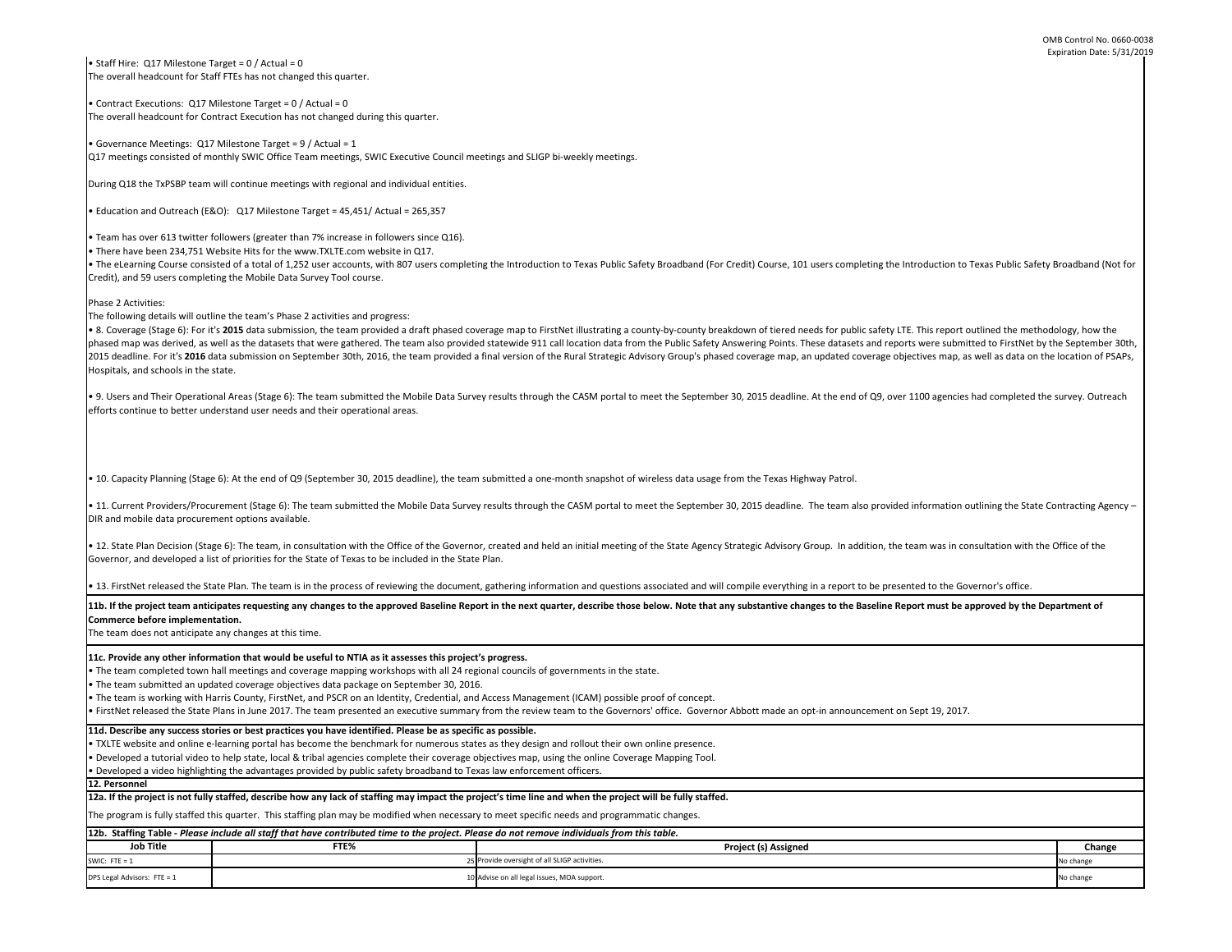| e, 101 users completing the Introduction to Texas Public Safety Broadband (Not for                                                                                                                                                                        |           |  |  |  |  |
|-----------------------------------------------------------------------------------------------------------------------------------------------------------------------------------------------------------------------------------------------------------|-----------|--|--|--|--|
| red needs for public safety LTE. This report outlined the methodology, how the<br>nts. These datasets and reports were submitted to FirstNet by the September 30th,<br>nap, an updated coverage objectives map, as well as data on the location of PSAPs, |           |  |  |  |  |
|                                                                                                                                                                                                                                                           |           |  |  |  |  |
| adline. At the end of Q9, over 1100 agencies had completed the survey. Outreach                                                                                                                                                                           |           |  |  |  |  |
|                                                                                                                                                                                                                                                           |           |  |  |  |  |
| Is Highway Patrol.                                                                                                                                                                                                                                        |           |  |  |  |  |
| dline. The team also provided information outlining the State Contracting Agency -                                                                                                                                                                        |           |  |  |  |  |
| isory Group. In addition, the team was in consultation with the Office of the                                                                                                                                                                             |           |  |  |  |  |
| ything in a report to be presented to the Governor's office.                                                                                                                                                                                              |           |  |  |  |  |
| e changes to the Baseline Report must be approved by the Department of                                                                                                                                                                                    |           |  |  |  |  |
|                                                                                                                                                                                                                                                           |           |  |  |  |  |
| e an opt-in announcement on Sept 19, 2017.                                                                                                                                                                                                                |           |  |  |  |  |
|                                                                                                                                                                                                                                                           |           |  |  |  |  |
|                                                                                                                                                                                                                                                           |           |  |  |  |  |
|                                                                                                                                                                                                                                                           |           |  |  |  |  |
|                                                                                                                                                                                                                                                           |           |  |  |  |  |
|                                                                                                                                                                                                                                                           |           |  |  |  |  |
| signed                                                                                                                                                                                                                                                    | Change    |  |  |  |  |
|                                                                                                                                                                                                                                                           | No change |  |  |  |  |
|                                                                                                                                                                                                                                                           | No change |  |  |  |  |

• 11. Current Providers/Procurement (Stage 6): The team submitted the Mobile Data Survey results through the CASM portal to meet the September 30, 2015 dead DIR and mobile data procurement options available.

• 12. State Plan Decision (Stage 6): The team, in consultation with the Office of the Governor, created and held an initial meeting of the State Agency Strategic Advi Governor, and developed a list of priorities for the State of Texas to be included in the State Plan.

• 13. FirstNet released the State Plan. The team is in the process of reviewing the document, gathering information and questions associated and will compile every

11b. If the project team anticipates requesting any changes to the approved Baseline Report in the next quarter, describe those below. Note that any substantive **Commerce before implementation.** 

The program is fully staffed this quarter. This staffing plan may be modified when necessary to meet specific needs and programmatic changes.

**12a. If the project is not fully staffed, describe how any lack of staffing may impact the project's time line and when the project will be fully staffed.**

• Staff Hire:  $Q17$  Milestone Target = 0 / Actual = 0 The overall headcount for Staff FTEs has not changed this quarter.

**12. Personnel** 

The team does not anticipate any changes at this time.

• TXLTE website and online e-learning portal has become the benchmark for numerous states as they design and rollout their own online presence.

• The eLearning Course consisted of a total of 1,252 user accounts, with 807 users completing the Introduction to Texas Public Safety Broadband (For Credit) Course Credit), and 59 users completing the Mobile Data Survey Tool course.

• Developed a tutorial video to help state, local & tribal agencies complete their coverage objectives map, using the online Coverage Mapping Tool.

• Developed a video highlighting the advantages provided by public safety broadband to Texas law enforcement officers.

**11d. Describe any success stories or best practices you have identified. Please be as specific as possible.**

**11c. Provide any other information that would be useful to NTIA as it assesses this project's progress.** 

• 8. Coverage (Stage 6): For it's 2015 data submission, the team provided a draft phased coverage map to FirstNet illustrating a county-by-county breakdown of tier phased map was derived, as well as the datasets that were gathered. The team also provided statewide 911 call location data from the Public Safety Answering Poii 2015 deadline. For it's 2016 data submission on September 30th, 2016, the team provided a final version of the Rural Strategic Advisory Group's phased coverage m Hospitals, and schools in the state.

• The team completed town hall meetings and coverage mapping workshops with all 24 regional councils of governments in the state.

• 9. Users and Their Operational Areas (Stage 6): The team submitted the Mobile Data Survey results through the CASM portal to meet the September 30, 2015 dea efforts continue to better understand user needs and their operational areas.

• 10. Capacity Planning (Stage 6): At the end of Q9 (September 30, 2015 deadline), the team submitted a one-month snapshot of wireless data usage from the Texa

• The team submitted an updated coverage objectives data package on September 30, 2016.

| 12b. Staffing Table - Please include all staff that have contributed time to the project. Please do not remove individuals from this table. |      |                                               |               |  |  |
|---------------------------------------------------------------------------------------------------------------------------------------------|------|-----------------------------------------------|---------------|--|--|
| <b>Job Title</b>                                                                                                                            | FTE% | <b>Project (s) Assigned</b>                   | <b>Change</b> |  |  |
| SWIC: FTE = $1$                                                                                                                             |      | 25 Provide oversight of all SLIGP activities. | No change     |  |  |
| DPS Legal Advisors: FTE = 1                                                                                                                 |      | 10 Advise on all legal issues, MOA support.   | No change     |  |  |

• The team is working with Harris County, FirstNet, and PSCR on an Identity, Credential, and Access Management (ICAM) possible proof of concept.

• FirstNet released the State Plans in June 2017. The team presented an executive summary from the review team to the Governors' office. Governor Abbott made

• Contract Executions: Q17 Milestone Target = 0 / Actual = 0 The overall headcount for Contract Execution has not changed during this quarter.

• Governance Meetings: Q17 Milestone Target = 9 / Actual = 1 Q17 meetings consisted of monthly SWIC Office Team meetings, SWIC Executive Council meetings and SLIGP bi-weekly meetings.

During Q18 the TxPSBP team will continue meetings with regional and individual entities.

• Education and Outreach (E&O): Q17 Milestone Target = 45,451/ Actual = 265,357

• Team has over 613 twitter followers (greater than 7% increase in followers since Q16).

• There have been 234,751 Website Hits for the www.TXLTE.com website in Q17.

Phase 2 Activities:

The following details will outline the team's Phase 2 activities and progress: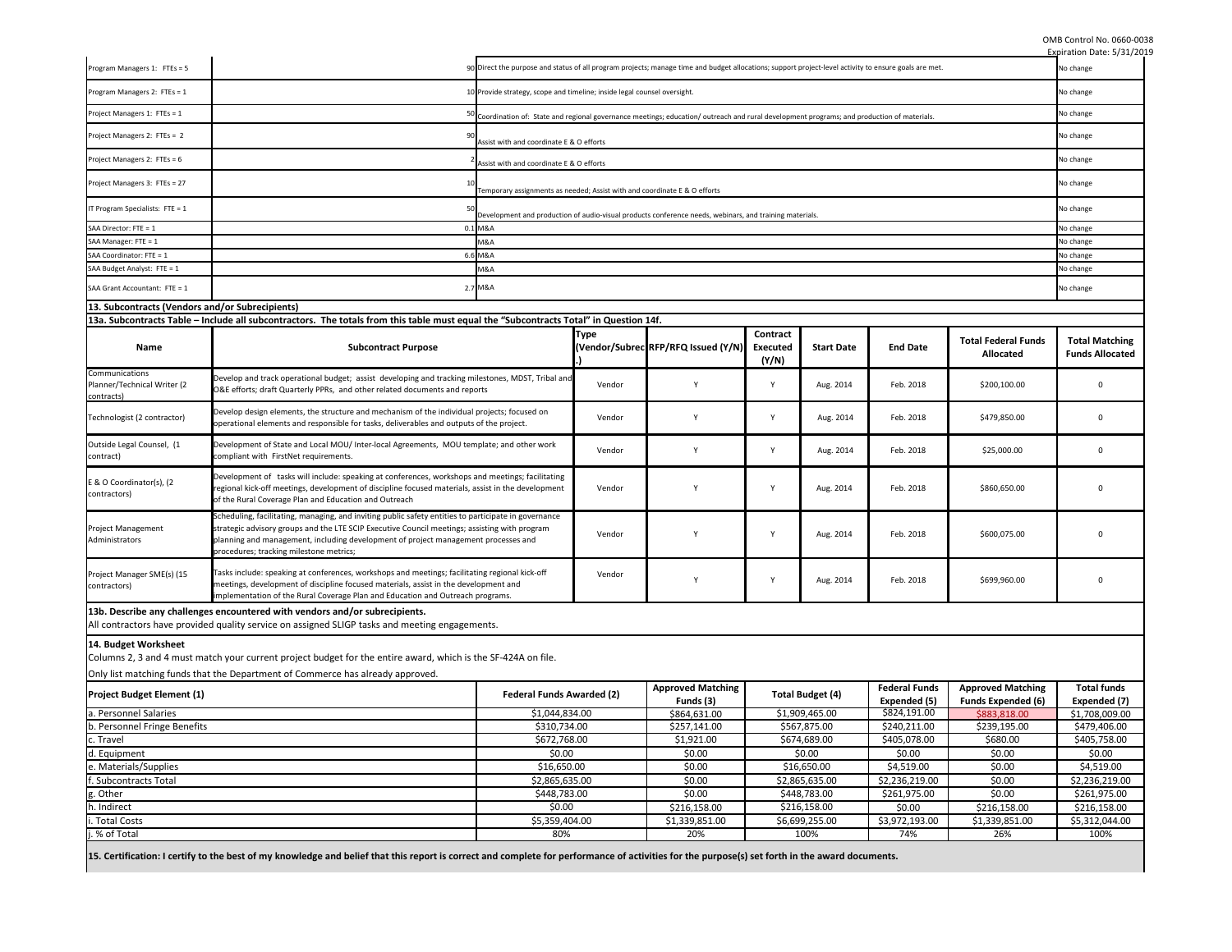OMB Control No. 0660-0038

|                                                             |                                                                                                                                                                                                                                                                                                                                        |                                                                                                                                                                                                |                                                                                                                                                        |                                                                                                         |                                      |                         |                              |                                                | Expiration Date: 5/31/2019                      |
|-------------------------------------------------------------|----------------------------------------------------------------------------------------------------------------------------------------------------------------------------------------------------------------------------------------------------------------------------------------------------------------------------------------|------------------------------------------------------------------------------------------------------------------------------------------------------------------------------------------------|--------------------------------------------------------------------------------------------------------------------------------------------------------|---------------------------------------------------------------------------------------------------------|--------------------------------------|-------------------------|------------------------------|------------------------------------------------|-------------------------------------------------|
| Program Managers 1: FTEs = 5                                | 90 Direct the purpose and status of all program projects; manage time and budget allocations; support project-level activity to ensure goals are met.                                                                                                                                                                                  |                                                                                                                                                                                                |                                                                                                                                                        | No change                                                                                               |                                      |                         |                              |                                                |                                                 |
| Program Managers 2: FTEs = 1                                | 10 Provide strategy, scope and timeline; inside legal counsel oversight.                                                                                                                                                                                                                                                               |                                                                                                                                                                                                |                                                                                                                                                        | No change                                                                                               |                                      |                         |                              |                                                |                                                 |
| Project Managers 1: FTEs = 1                                |                                                                                                                                                                                                                                                                                                                                        |                                                                                                                                                                                                | <sup>50</sup> Coordination of: State and regional governance meetings; education/outreach and rural development programs; and production of materials. |                                                                                                         |                                      |                         |                              | No change                                      |                                                 |
| Project Managers 2: FTEs = 2                                | Assist with and coordinate E & O efforts                                                                                                                                                                                                                                                                                               |                                                                                                                                                                                                |                                                                                                                                                        |                                                                                                         |                                      | No change               |                              |                                                |                                                 |
| Project Managers 2: FTEs = 6                                |                                                                                                                                                                                                                                                                                                                                        | Assist with and coordinate E & O efforts                                                                                                                                                       |                                                                                                                                                        |                                                                                                         |                                      |                         |                              |                                                | No change                                       |
| Project Managers 3: FTEs = 27                               |                                                                                                                                                                                                                                                                                                                                        | Temporary assignments as needed; Assist with and coordinate E & O efforts                                                                                                                      |                                                                                                                                                        |                                                                                                         |                                      |                         |                              |                                                | No change                                       |
| IT Program Specialists: FTE = $1$                           |                                                                                                                                                                                                                                                                                                                                        |                                                                                                                                                                                                |                                                                                                                                                        |                                                                                                         |                                      |                         |                              | No change                                      |                                                 |
| SAA Director: FTE = 1                                       |                                                                                                                                                                                                                                                                                                                                        | 0.1 M&A                                                                                                                                                                                        |                                                                                                                                                        | Development and production of audio-visual products conference needs, webinars, and training materials. |                                      |                         |                              |                                                | No change                                       |
| SAA Manager: FTE = 1                                        |                                                                                                                                                                                                                                                                                                                                        | M&A                                                                                                                                                                                            |                                                                                                                                                        |                                                                                                         |                                      |                         |                              |                                                | No change                                       |
|                                                             |                                                                                                                                                                                                                                                                                                                                        |                                                                                                                                                                                                |                                                                                                                                                        |                                                                                                         |                                      |                         |                              |                                                |                                                 |
| SAA Coordinator: FTE = 1                                    |                                                                                                                                                                                                                                                                                                                                        | 6.6 M&A                                                                                                                                                                                        |                                                                                                                                                        |                                                                                                         |                                      |                         |                              |                                                | No change                                       |
| SAA Budget Analyst: FTE = 1                                 |                                                                                                                                                                                                                                                                                                                                        | VI&A                                                                                                                                                                                           |                                                                                                                                                        |                                                                                                         |                                      |                         |                              |                                                | No change                                       |
| SAA Grant Accountant: FTE = 1                               |                                                                                                                                                                                                                                                                                                                                        | 2.7 M&A                                                                                                                                                                                        |                                                                                                                                                        |                                                                                                         |                                      |                         |                              |                                                | No change                                       |
| [13. Subcontracts (Vendors and/or Subrecipients)            |                                                                                                                                                                                                                                                                                                                                        |                                                                                                                                                                                                |                                                                                                                                                        |                                                                                                         |                                      |                         |                              |                                                |                                                 |
|                                                             | 13a. Subcontracts Table – Include all subcontractors. The totals from this table must equal the "Subcontracts Total" in Question 14f.                                                                                                                                                                                                  |                                                                                                                                                                                                |                                                                                                                                                        |                                                                                                         |                                      |                         |                              |                                                |                                                 |
| <b>Name</b>                                                 | <b>Subcontract Purpose</b>                                                                                                                                                                                                                                                                                                             |                                                                                                                                                                                                | <b>Type</b>                                                                                                                                            | (Vendor/Subrec RFP/RFQ Issued (Y/N)                                                                     | Contract<br><b>Executed</b><br>(Y/N) | <b>Start Date</b>       | <b>End Date</b>              | <b>Total Federal Funds</b><br><b>Allocated</b> | <b>Total Matching</b><br><b>Funds Allocated</b> |
| Communications<br>Planner/Technical Writer (2<br>contracts) | Develop and track operational budget; assist developing and tracking milestones, MDST, Tribal and<br>O&E efforts; draft Quarterly PPRs, and other related documents and reports                                                                                                                                                        |                                                                                                                                                                                                | Vendor                                                                                                                                                 | <b>V</b>                                                                                                | <b>Y</b>                             | Aug. 2014               | Feb. 2018                    | \$200,100.00                                   | $\Omega$                                        |
| Technologist (2 contractor)                                 | Develop design elements, the structure and mechanism of the individual projects; focused on<br>operational elements and responsible for tasks, deliverables and outputs of the project.                                                                                                                                                |                                                                                                                                                                                                | Vendor                                                                                                                                                 | Y                                                                                                       | <b>Y</b>                             | Aug. 2014               | Feb. 2018                    | \$479,850.00                                   | 0                                               |
| Outside Legal Counsel, (1<br>contract)                      | Development of State and Local MOU/ Inter-local Agreements, MOU template; and other work<br>compliant with FirstNet requirements.                                                                                                                                                                                                      |                                                                                                                                                                                                | Vendor                                                                                                                                                 |                                                                                                         | $\mathsf{Y}$                         | Aug. 2014               | Feb. 2018                    | \$25,000.00                                    | $\Omega$                                        |
| E & O Coordinator(s), (2<br>contractors)                    | Development of tasks will include: speaking at conferences, workshops and meetings; facilitating<br>regional kick-off meetings, development of discipline focused materials, assist in the development<br>of the Rural Coverage Plan and Education and Outreach                                                                        |                                                                                                                                                                                                | Vendor                                                                                                                                                 |                                                                                                         | $\mathsf{v}$                         | Aug. 2014               | Feb. 2018                    | \$860,650.00                                   | $\Omega$                                        |
| Project Management<br>Administrators                        | Scheduling, facilitating, managing, and inviting public safety entities to participate in governance<br>strategic advisory groups and the LTE SCIP Executive Council meetings; assisting with program<br>planning and management, including development of project management processes and<br>procedures; tracking milestone metrics; |                                                                                                                                                                                                | Vendor                                                                                                                                                 |                                                                                                         | <sup>V</sup>                         | Aug. 2014               | Feb. 2018                    | \$600,075.00                                   | $\Omega$                                        |
| Project Manager SME(s) (15<br>contractors)                  | Tasks include: speaking at conferences, workshops and meetings; facilitating regional kick-off<br>meetings, development of discipline focused materials, assist in the development and<br>implementation of the Rural Coverage Plan and Education and Outreach programs.                                                               |                                                                                                                                                                                                | Vendor                                                                                                                                                 |                                                                                                         | $\mathsf{v}$                         | Aug. 2014               | Feb. 2018                    | \$699,960.00                                   | $\Omega$                                        |
|                                                             | 13b. Describe any challenges encountered with vendors and/or subrecipients.                                                                                                                                                                                                                                                            |                                                                                                                                                                                                |                                                                                                                                                        |                                                                                                         |                                      |                         |                              |                                                |                                                 |
|                                                             | All contractors have provided quality service on assigned SLIGP tasks and meeting engagements.                                                                                                                                                                                                                                         |                                                                                                                                                                                                |                                                                                                                                                        |                                                                                                         |                                      |                         |                              |                                                |                                                 |
|                                                             |                                                                                                                                                                                                                                                                                                                                        |                                                                                                                                                                                                |                                                                                                                                                        |                                                                                                         |                                      |                         |                              |                                                |                                                 |
| 14. Budget Worksheet                                        | Columns 2, 3 and 4 must match your current project budget for the entire award, which is the SF-424A on file.                                                                                                                                                                                                                          |                                                                                                                                                                                                |                                                                                                                                                        |                                                                                                         |                                      |                         |                              |                                                |                                                 |
|                                                             | Only list matching funds that the Department of Commerce has already approved.                                                                                                                                                                                                                                                         |                                                                                                                                                                                                |                                                                                                                                                        |                                                                                                         |                                      |                         |                              |                                                |                                                 |
| <b>Project Budget Element (1)</b>                           | <b>Federal Funds Awarded (2)</b>                                                                                                                                                                                                                                                                                                       |                                                                                                                                                                                                |                                                                                                                                                        | <b>Approved Matching</b>                                                                                |                                      | <b>Total Budget (4)</b> | <b>Federal Funds</b>         | <b>Approved Matching</b>                       | <b>Total funds</b>                              |
| a. Personnel Salaries                                       |                                                                                                                                                                                                                                                                                                                                        | \$1,044,834.00                                                                                                                                                                                 |                                                                                                                                                        | Funds (3)<br>\$864,631.00                                                                               |                                      | \$1,909,465.00          | Expended (5)<br>\$824,191.00 | <b>Funds Expended (6)</b><br>\$883,818.00      | Expended (7)<br>\$1,708,009.00                  |
| b. Personnel Fringe Benefits<br>\$310,734.00                |                                                                                                                                                                                                                                                                                                                                        |                                                                                                                                                                                                | \$257,141.00                                                                                                                                           |                                                                                                         | \$567,875.00                         | \$240,211.00            | \$239,195.00                 | \$479,406.00                                   |                                                 |
|                                                             |                                                                                                                                                                                                                                                                                                                                        |                                                                                                                                                                                                | \$1,921.00                                                                                                                                             |                                                                                                         |                                      | \$405,078.00            | \$680.00                     |                                                |                                                 |
| \$672,768.00<br>c. Travel                                   |                                                                                                                                                                                                                                                                                                                                        |                                                                                                                                                                                                |                                                                                                                                                        |                                                                                                         | \$674,689.00                         |                         |                              | \$405,758.00                                   |                                                 |
| d. Equipment                                                | \$0.00                                                                                                                                                                                                                                                                                                                                 |                                                                                                                                                                                                |                                                                                                                                                        | \$0.00                                                                                                  |                                      | \$0.00                  | \$0.00                       | \$0.00                                         | \$0.00                                          |
| e. Materials/Supplies                                       |                                                                                                                                                                                                                                                                                                                                        | \$16,650.00                                                                                                                                                                                    |                                                                                                                                                        | \$0.00                                                                                                  |                                      | \$16,650.00             | \$4,519.00                   | \$0.00                                         | \$4,519.00                                      |
| f. Subcontracts Total                                       |                                                                                                                                                                                                                                                                                                                                        | \$2,865,635.00                                                                                                                                                                                 |                                                                                                                                                        | \$0.00                                                                                                  |                                      | \$2,865,635.00          | \$2,236,219.00               | \$0.00                                         | \$2,236,219.00                                  |
| g. Other                                                    |                                                                                                                                                                                                                                                                                                                                        | \$448,783.00                                                                                                                                                                                   |                                                                                                                                                        | \$0.00                                                                                                  |                                      | \$448,783.00            | \$261,975.00                 | \$0.00                                         | \$261,975.00                                    |
| h. Indirect                                                 |                                                                                                                                                                                                                                                                                                                                        | \$0.00                                                                                                                                                                                         |                                                                                                                                                        | \$216,158.00                                                                                            |                                      | \$216,158.00            | \$0.00                       | \$216,158.00                                   | \$216,158.00                                    |
| i. Total Costs                                              |                                                                                                                                                                                                                                                                                                                                        | \$5,359,404.00                                                                                                                                                                                 |                                                                                                                                                        | \$1,339,851.00                                                                                          |                                      | \$6,699,255.00          | \$3,972,193.00               | \$1,339,851.00                                 | \$5,312,044.00                                  |
| j. % of Total                                               |                                                                                                                                                                                                                                                                                                                                        | 80%                                                                                                                                                                                            |                                                                                                                                                        | 20%                                                                                                     |                                      | 100%                    | 74%                          | 26%                                            | 100%                                            |
|                                                             |                                                                                                                                                                                                                                                                                                                                        | 15. Contification: Leartify to the best of my knowledge and belief that this report is correct and complete for performance of activities for the nurnosels) set forth in the queard documents |                                                                                                                                                        |                                                                                                         |                                      |                         |                              |                                                |                                                 |

**15. Certification: I certify to the best of my knowledge and belief that this report is correct and complete for performance of activities for the purpose(s) set forth in the award documents.**